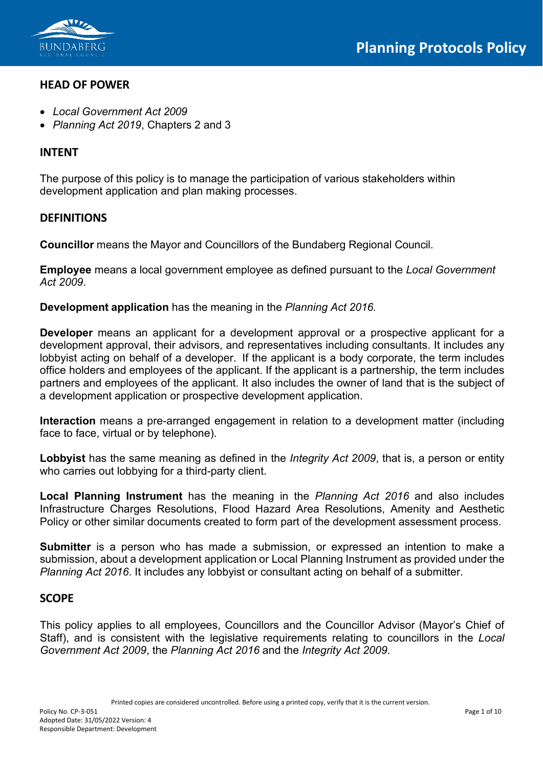

## **HEAD OF POWER**

- *Local Government Act 2009*
- *Planning Act 2019*, Chapters 2 and 3

## **INTENT**

The purpose of this policy is to manage the participation of various stakeholders within development application and plan making processes.

## **DEFINITIONS**

**Councillor** means the Mayor and Councillors of the Bundaberg Regional Council.

**Employee** means a local government employee as defined pursuant to the *Local Government Act 2009*.

**Development application** has the meaning in the *Planning Act 2016.*

**Developer** means an applicant for a development approval or a prospective applicant for a development approval, their advisors, and representatives including consultants. It includes any lobbyist acting on behalf of a developer. If the applicant is a body corporate, the term includes office holders and employees of the applicant. If the applicant is a partnership, the term includes partners and employees of the applicant. It also includes the owner of land that is the subject of a development application or prospective development application.

**Interaction** means a pre-arranged engagement in relation to a development matter (including face to face, virtual or by telephone).

**Lobbyist** has the same meaning as defined in the *Integrity Act 2009*, that is, a person or entity who carries out lobbying for a third-party client.

**Local Planning Instrument** has the meaning in the *Planning Act 2016* and also includes Infrastructure Charges Resolutions, Flood Hazard Area Resolutions, Amenity and Aesthetic Policy or other similar documents created to form part of the development assessment process.

**Submitter** is a person who has made a submission, or expressed an intention to make a submission, about a development application or Local Planning Instrument as provided under the *Planning Act 2016*. It includes any lobbyist or consultant acting on behalf of a submitter.

#### **SCOPE**

This policy applies to all employees, Councillors and the Councillor Advisor (Mayor's Chief of Staff), and is consistent with the legislative requirements relating to councillors in the *Local Government Act 2009*, the *Planning Act 2016* and the *Integrity Act 2009*.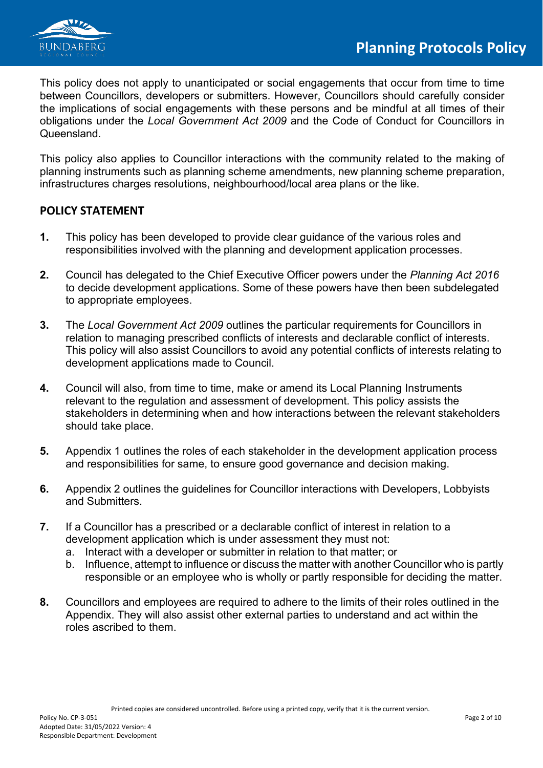

This policy does not apply to unanticipated or social engagements that occur from time to time between Councillors, developers or submitters. However, Councillors should carefully consider the implications of social engagements with these persons and be mindful at all times of their obligations under the *Local Government Act 2009* and the Code of Conduct for Councillors in Queensland.

This policy also applies to Councillor interactions with the community related to the making of planning instruments such as planning scheme amendments, new planning scheme preparation, infrastructures charges resolutions, neighbourhood/local area plans or the like.

## **POLICY STATEMENT**

- **1.** This policy has been developed to provide clear guidance of the various roles and responsibilities involved with the planning and development application processes.
- **2.** Council has delegated to the Chief Executive Officer powers under the *Planning Act 2016*  to decide development applications. Some of these powers have then been subdelegated to appropriate employees.
- **3.** The *Local Government Act 2009* outlines the particular requirements for Councillors in relation to managing prescribed conflicts of interests and declarable conflict of interests. This policy will also assist Councillors to avoid any potential conflicts of interests relating to development applications made to Council.
- **4.** Council will also, from time to time, make or amend its Local Planning Instruments relevant to the regulation and assessment of development. This policy assists the stakeholders in determining when and how interactions between the relevant stakeholders should take place.
- **5.** Appendix 1 outlines the roles of each stakeholder in the development application process and responsibilities for same, to ensure good governance and decision making.
- **6.** Appendix 2 outlines the guidelines for Councillor interactions with Developers, Lobbyists and Submitters.
- **7.** If a Councillor has a prescribed or a declarable conflict of interest in relation to a development application which is under assessment they must not:
	- a. Interact with a developer or submitter in relation to that matter; or
	- b. Influence, attempt to influence or discuss the matter with another Councillor who is partly responsible or an employee who is wholly or partly responsible for deciding the matter.
- **8.** Councillors and employees are required to adhere to the limits of their roles outlined in the Appendix. They will also assist other external parties to understand and act within the roles ascribed to them.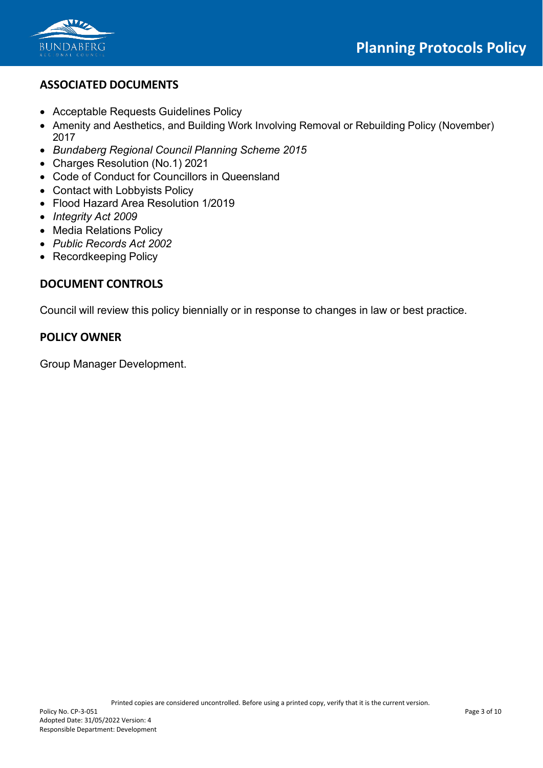

## **ASSOCIATED DOCUMENTS**

- Acceptable Requests Guidelines Policy
- Amenity and Aesthetics, and Building Work Involving Removal or Rebuilding Policy (November) 2017
- *Bundaberg Regional Council Planning Scheme 2015*
- Charges Resolution (No.1) 2021
- Code of Conduct for Councillors in Queensland
- Contact with Lobbyists Policy
- Flood Hazard Area Resolution 1/2019
- *Integrity Act 2009*
- Media Relations Policy
- *Public Records Act 2002*
- Recordkeeping Policy

## **DOCUMENT CONTROLS**

Council will review this policy biennially or in response to changes in law or best practice.

## **POLICY OWNER**

Group Manager Development.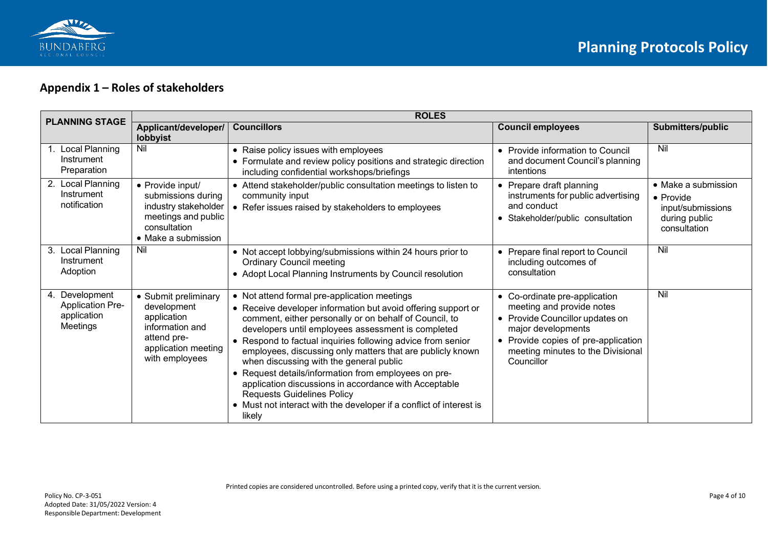

# **Appendix 1 – Roles of stakeholders**

| <b>PLANNING STAGE</b>                                                   | <b>ROLES</b>                                                                                                                  |                                                                                                                                                                                                                                                                                                                                                                                                                                                                                                                                                                                                                                              |                                                                                                                                                                                                               |                                                                                                |
|-------------------------------------------------------------------------|-------------------------------------------------------------------------------------------------------------------------------|----------------------------------------------------------------------------------------------------------------------------------------------------------------------------------------------------------------------------------------------------------------------------------------------------------------------------------------------------------------------------------------------------------------------------------------------------------------------------------------------------------------------------------------------------------------------------------------------------------------------------------------------|---------------------------------------------------------------------------------------------------------------------------------------------------------------------------------------------------------------|------------------------------------------------------------------------------------------------|
|                                                                         | Applicant/developer/<br>lobbyist                                                                                              | <b>Councillors</b>                                                                                                                                                                                                                                                                                                                                                                                                                                                                                                                                                                                                                           | <b>Council employees</b>                                                                                                                                                                                      | Submitters/public                                                                              |
| Local Planning<br>Instrument<br>Preparation                             | Nil                                                                                                                           | • Raise policy issues with employees<br>• Formulate and review policy positions and strategic direction<br>including confidential workshops/briefings                                                                                                                                                                                                                                                                                                                                                                                                                                                                                        | • Provide information to Council<br>and document Council's planning<br>intentions                                                                                                                             | Nil                                                                                            |
| 2. Local Planning<br>Instrument<br>notification                         | • Provide input/<br>submissions during<br>industry stakeholder<br>meetings and public<br>consultation<br>• Make a submission  | • Attend stakeholder/public consultation meetings to listen to<br>community input<br>• Refer issues raised by stakeholders to employees                                                                                                                                                                                                                                                                                                                                                                                                                                                                                                      | • Prepare draft planning<br>instruments for public advertising<br>and conduct<br>• Stakeholder/public consultation                                                                                            | $\bullet$ Make a submission<br>• Provide<br>input/submissions<br>during public<br>consultation |
| 3. Local Planning<br>Instrument<br>Adoption                             | Nil                                                                                                                           | • Not accept lobbying/submissions within 24 hours prior to<br><b>Ordinary Council meeting</b><br>• Adopt Local Planning Instruments by Council resolution                                                                                                                                                                                                                                                                                                                                                                                                                                                                                    | • Prepare final report to Council<br>including outcomes of<br>consultation                                                                                                                                    | Nil                                                                                            |
| Development<br>4.<br><b>Application Pre-</b><br>application<br>Meetings | • Submit preliminary<br>development<br>application<br>information and<br>attend pre-<br>application meeting<br>with employees | • Not attend formal pre-application meetings<br>• Receive developer information but avoid offering support or<br>comment, either personally or on behalf of Council, to<br>developers until employees assessment is completed<br>• Respond to factual inquiries following advice from senior<br>employees, discussing only matters that are publicly known<br>when discussing with the general public<br>• Request details/information from employees on pre-<br>application discussions in accordance with Acceptable<br><b>Requests Guidelines Policy</b><br>• Must not interact with the developer if a conflict of interest is<br>likely | • Co-ordinate pre-application<br>meeting and provide notes<br>• Provide Councillor updates on<br>major developments<br>• Provide copies of pre-application<br>meeting minutes to the Divisional<br>Councillor | Nil                                                                                            |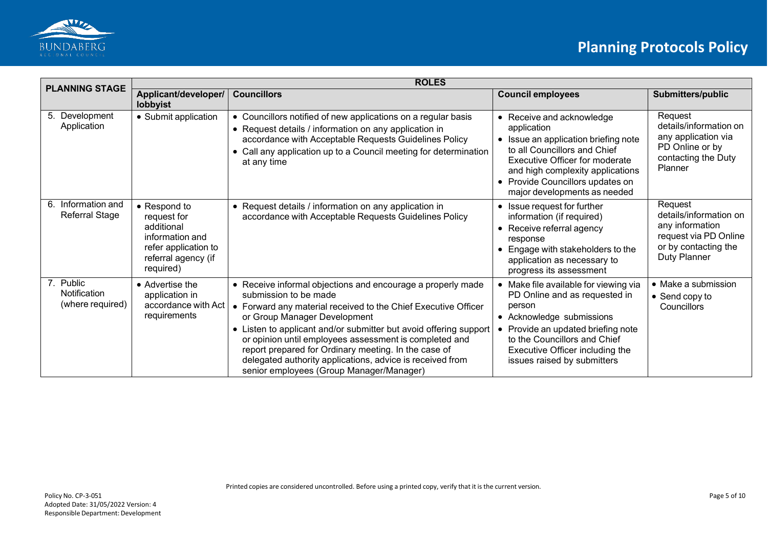

| <b>PLANNING STAGE</b>                         | <b>ROLES</b>                                                                                                             |                                                                                                                                                                                                                                                                                                                                                                                                                                                                                        |                                                                                                                                                                                                                                                            |                                                                                                                       |
|-----------------------------------------------|--------------------------------------------------------------------------------------------------------------------------|----------------------------------------------------------------------------------------------------------------------------------------------------------------------------------------------------------------------------------------------------------------------------------------------------------------------------------------------------------------------------------------------------------------------------------------------------------------------------------------|------------------------------------------------------------------------------------------------------------------------------------------------------------------------------------------------------------------------------------------------------------|-----------------------------------------------------------------------------------------------------------------------|
|                                               | Applicant/developer/<br>lobbyist                                                                                         | <b>Councillors</b>                                                                                                                                                                                                                                                                                                                                                                                                                                                                     | <b>Council employees</b>                                                                                                                                                                                                                                   | <b>Submitters/public</b>                                                                                              |
| 5. Development<br>Application                 | • Submit application                                                                                                     | • Councillors notified of new applications on a regular basis<br>• Request details / information on any application in<br>accordance with Acceptable Requests Guidelines Policy<br>Call any application up to a Council meeting for determination<br>at any time                                                                                                                                                                                                                       | • Receive and acknowledge<br>application<br>• Issue an application briefing note<br>to all Councillors and Chief<br>Executive Officer for moderate<br>and high complexity applications<br>• Provide Councillors updates on<br>major developments as needed | Request<br>details/information on<br>any application via<br>PD Online or by<br>contacting the Duty<br>Planner         |
| Information and<br>6.<br>Referral Stage       | • Respond to<br>request for<br>additional<br>information and<br>refer application to<br>referral agency (if<br>required) | • Request details / information on any application in<br>accordance with Acceptable Requests Guidelines Policy                                                                                                                                                                                                                                                                                                                                                                         | • Issue request for further<br>information (if required)<br>• Receive referral agency<br>response<br>Engage with stakeholders to the<br>application as necessary to<br>progress its assessment                                                             | Request<br>details/information on<br>any information<br>request via PD Online<br>or by contacting the<br>Duty Planner |
| 7. Public<br>Notification<br>(where required) | • Advertise the<br>application in<br>accordance with Act<br>requirements                                                 | • Receive informal objections and encourage a properly made<br>submission to be made<br>• Forward any material received to the Chief Executive Officer<br>or Group Manager Development<br>• Listen to applicant and/or submitter but avoid offering support<br>or opinion until employees assessment is completed and<br>report prepared for Ordinary meeting. In the case of<br>delegated authority applications, advice is received from<br>senior employees (Group Manager/Manager) | • Make file available for viewing via<br>PD Online and as requested in<br>person<br>• Acknowledge submissions<br>Provide an updated briefing note<br>to the Councillors and Chief<br>Executive Officer including the<br>issues raised by submitters        | • Make a submission<br>$\bullet$ Send copy to<br>Councillors                                                          |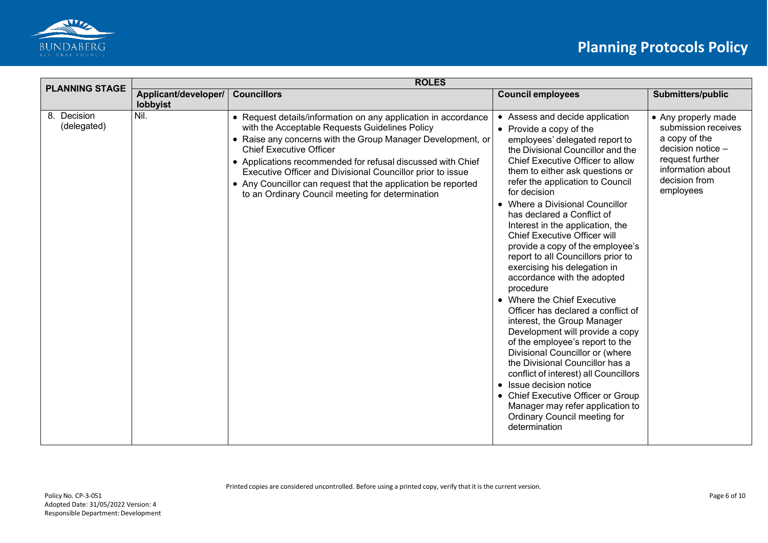

| <b>PLANNING STAGE</b>      | <b>ROLES</b>                     |                                                                                                                                                                                                                                                                                                                                                                                                                                                                     |                                                                                                                                                                                                                                                                                                                                                                                                                                                                                                                                                                                                                                                                                                                                                                                                                                                                                                                                                                                                                       |                                                                                                                                                        |
|----------------------------|----------------------------------|---------------------------------------------------------------------------------------------------------------------------------------------------------------------------------------------------------------------------------------------------------------------------------------------------------------------------------------------------------------------------------------------------------------------------------------------------------------------|-----------------------------------------------------------------------------------------------------------------------------------------------------------------------------------------------------------------------------------------------------------------------------------------------------------------------------------------------------------------------------------------------------------------------------------------------------------------------------------------------------------------------------------------------------------------------------------------------------------------------------------------------------------------------------------------------------------------------------------------------------------------------------------------------------------------------------------------------------------------------------------------------------------------------------------------------------------------------------------------------------------------------|--------------------------------------------------------------------------------------------------------------------------------------------------------|
|                            | Applicant/developer/<br>lobbyist | <b>Councillors</b>                                                                                                                                                                                                                                                                                                                                                                                                                                                  | <b>Council employees</b>                                                                                                                                                                                                                                                                                                                                                                                                                                                                                                                                                                                                                                                                                                                                                                                                                                                                                                                                                                                              | Submitters/public                                                                                                                                      |
| 8. Decision<br>(delegated) | Nil.                             | • Request details/information on any application in accordance<br>with the Acceptable Requests Guidelines Policy<br>• Raise any concerns with the Group Manager Development, or<br><b>Chief Executive Officer</b><br>• Applications recommended for refusal discussed with Chief<br>Executive Officer and Divisional Councillor prior to issue<br>• Any Councillor can request that the application be reported<br>to an Ordinary Council meeting for determination | • Assess and decide application<br>$\bullet$ Provide a copy of the<br>employees' delegated report to<br>the Divisional Councillor and the<br>Chief Executive Officer to allow<br>them to either ask questions or<br>refer the application to Council<br>for decision<br>• Where a Divisional Councillor<br>has declared a Conflict of<br>Interest in the application, the<br><b>Chief Executive Officer will</b><br>provide a copy of the employee's<br>report to all Councillors prior to<br>exercising his delegation in<br>accordance with the adopted<br>procedure<br>• Where the Chief Executive<br>Officer has declared a conflict of<br>interest, the Group Manager<br>Development will provide a copy<br>of the employee's report to the<br>Divisional Councillor or (where<br>the Divisional Councillor has a<br>conflict of interest) all Councillors<br>• Issue decision notice<br>• Chief Executive Officer or Group<br>Manager may refer application to<br>Ordinary Council meeting for<br>determination | • Any properly made<br>submission receives<br>a copy of the<br>decision notice -<br>request further<br>information about<br>decision from<br>employees |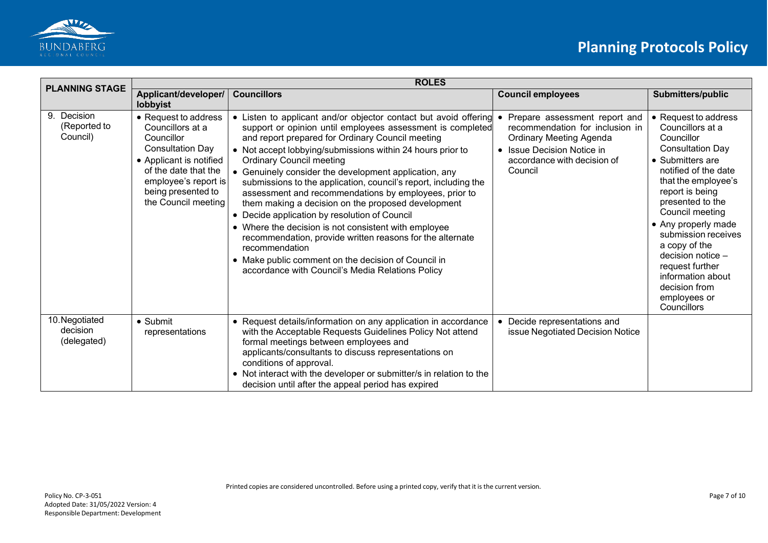

| <b>PLANNING STAGE</b>                     | <b>ROLES</b>                                                                                                                                                                                              |                                                                                                                                                                                                                                                                                                                                                                                                                                                                                                                                                                                                                                                                                                                                                                                                                                   |                                                                                                                                                                            |                                                                                                                                                                                                                                                                                                                                                                                                   |
|-------------------------------------------|-----------------------------------------------------------------------------------------------------------------------------------------------------------------------------------------------------------|-----------------------------------------------------------------------------------------------------------------------------------------------------------------------------------------------------------------------------------------------------------------------------------------------------------------------------------------------------------------------------------------------------------------------------------------------------------------------------------------------------------------------------------------------------------------------------------------------------------------------------------------------------------------------------------------------------------------------------------------------------------------------------------------------------------------------------------|----------------------------------------------------------------------------------------------------------------------------------------------------------------------------|---------------------------------------------------------------------------------------------------------------------------------------------------------------------------------------------------------------------------------------------------------------------------------------------------------------------------------------------------------------------------------------------------|
|                                           | Applicant/developer/<br>lobbyist                                                                                                                                                                          | <b>Councillors</b>                                                                                                                                                                                                                                                                                                                                                                                                                                                                                                                                                                                                                                                                                                                                                                                                                | <b>Council employees</b>                                                                                                                                                   | Submitters/public                                                                                                                                                                                                                                                                                                                                                                                 |
| 9. Decision<br>(Reported to<br>Council)   | • Request to address<br>Councillors at a<br>Councillor<br><b>Consultation Day</b><br>• Applicant is notified<br>of the date that the<br>employee's report is<br>being presented to<br>the Council meeting | • Listen to applicant and/or objector contact but avoid offering<br>support or opinion until employees assessment is completed<br>and report prepared for Ordinary Council meeting<br>• Not accept lobbying/submissions within 24 hours prior to<br><b>Ordinary Council meeting</b><br>• Genuinely consider the development application, any<br>submissions to the application, council's report, including the<br>assessment and recommendations by employees, prior to<br>them making a decision on the proposed development<br>• Decide application by resolution of Council<br>• Where the decision is not consistent with employee<br>recommendation, provide written reasons for the alternate<br>recommendation<br>• Make public comment on the decision of Council in<br>accordance with Council's Media Relations Policy | Prepare assessment report and<br>recommendation for inclusion in<br><b>Ordinary Meeting Agenda</b><br>• Issue Decision Notice in<br>accordance with decision of<br>Council | • Request to address<br>Councillors at a<br>Councillor<br><b>Consultation Day</b><br>• Submitters are<br>notified of the date<br>that the employee's<br>report is being<br>presented to the<br>Council meeting<br>• Any properly made<br>submission receives<br>a copy of the<br>decision notice -<br>request further<br>information about<br>decision from<br>employees or<br><b>Councillors</b> |
| 10. Negotiated<br>decision<br>(delegated) | $\bullet$ Submit<br>representations                                                                                                                                                                       | • Request details/information on any application in accordance<br>with the Acceptable Requests Guidelines Policy Not attend<br>formal meetings between employees and<br>applicants/consultants to discuss representations on<br>conditions of approval.<br>• Not interact with the developer or submitter/s in relation to the<br>decision until after the appeal period has expired                                                                                                                                                                                                                                                                                                                                                                                                                                              | Decide representations and<br>issue Negotiated Decision Notice                                                                                                             |                                                                                                                                                                                                                                                                                                                                                                                                   |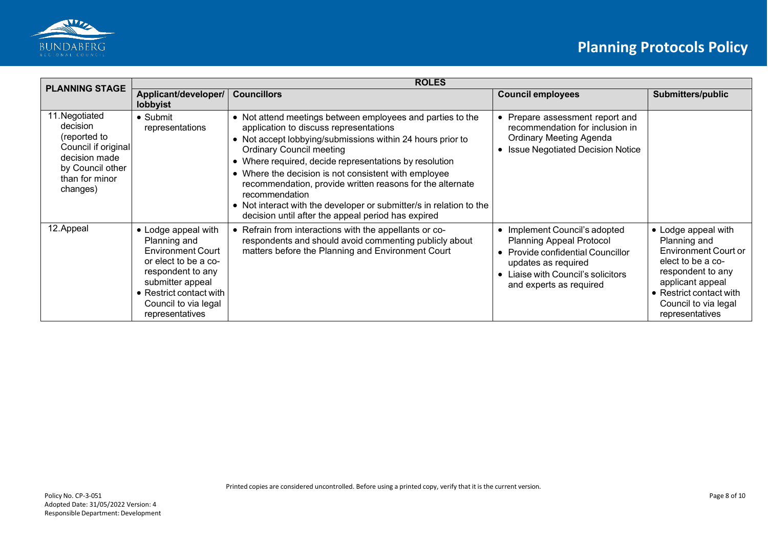

| <b>PLANNING STAGE</b>                                                                                                                | <b>ROLES</b>                                                                                                                                                                                           |                                                                                                                                                                                                                                                                                                                                                                                                                                                                                                                                     |                                                                                                                                                                                             |                                                                                                                                                                                                        |
|--------------------------------------------------------------------------------------------------------------------------------------|--------------------------------------------------------------------------------------------------------------------------------------------------------------------------------------------------------|-------------------------------------------------------------------------------------------------------------------------------------------------------------------------------------------------------------------------------------------------------------------------------------------------------------------------------------------------------------------------------------------------------------------------------------------------------------------------------------------------------------------------------------|---------------------------------------------------------------------------------------------------------------------------------------------------------------------------------------------|--------------------------------------------------------------------------------------------------------------------------------------------------------------------------------------------------------|
|                                                                                                                                      | Applicant/developer/<br>lobbyist                                                                                                                                                                       | <b>Councillors</b>                                                                                                                                                                                                                                                                                                                                                                                                                                                                                                                  | <b>Council employees</b>                                                                                                                                                                    | Submitters/public                                                                                                                                                                                      |
| 11. Negotiated<br>decision<br>(reported to<br>Council if original<br>decision made<br>by Council other<br>than for minor<br>changes) | $\bullet$ Submit<br>representations                                                                                                                                                                    | • Not attend meetings between employees and parties to the<br>application to discuss representations<br>• Not accept lobbying/submissions within 24 hours prior to<br><b>Ordinary Council meeting</b><br>• Where required, decide representations by resolution<br>• Where the decision is not consistent with employee<br>recommendation, provide written reasons for the alternate<br>recommendation<br>• Not interact with the developer or submitter/s in relation to the<br>decision until after the appeal period has expired | • Prepare assessment report and<br>recommendation for inclusion in<br><b>Ordinary Meeting Agenda</b><br>• Issue Negotiated Decision Notice                                                  |                                                                                                                                                                                                        |
| 12. Appeal                                                                                                                           | • Lodge appeal with<br>Planning and<br><b>Environment Court</b><br>or elect to be a co-<br>respondent to any<br>submitter appeal<br>• Restrict contact with<br>Council to via legal<br>representatives | Refrain from interactions with the appellants or co-<br>respondents and should avoid commenting publicly about<br>matters before the Planning and Environment Court                                                                                                                                                                                                                                                                                                                                                                 | • Implement Council's adopted<br><b>Planning Appeal Protocol</b><br>• Provide confidential Councillor<br>updates as required<br>Liaise with Council's solicitors<br>and experts as required | • Lodge appeal with<br>Planning and<br><b>Environment Court or</b><br>elect to be a co-<br>respondent to any<br>applicant appeal<br>• Restrict contact with<br>Council to via legal<br>representatives |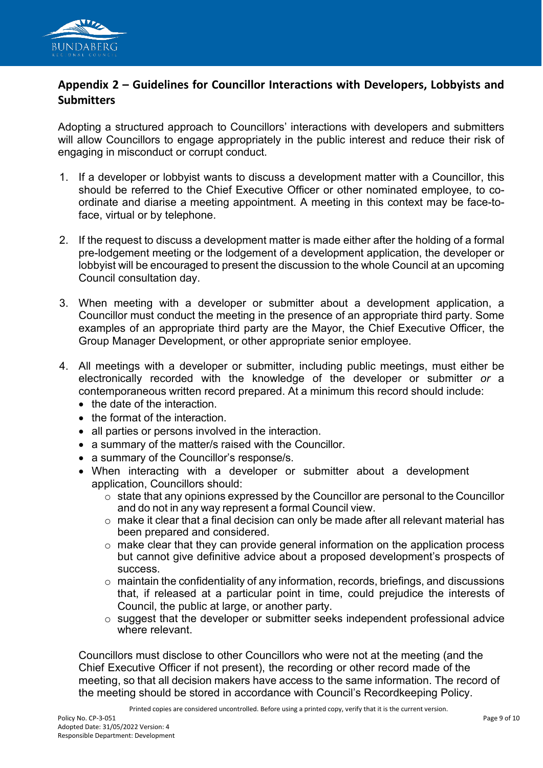

## **Appendix 2 – Guidelines for Councillor Interactions with Developers, Lobbyists and Submitters**

Adopting a structured approach to Councillors' interactions with developers and submitters will allow Councillors to engage appropriately in the public interest and reduce their risk of engaging in misconduct or corrupt conduct.

- 1. If a developer or lobbyist wants to discuss a development matter with a Councillor, this should be referred to the Chief Executive Officer or other nominated employee, to coordinate and diarise a meeting appointment. A meeting in this context may be face-toface, virtual or by telephone.
- 2. If the request to discuss a development matter is made either after the holding of a formal pre-lodgement meeting or the lodgement of a development application, the developer or lobbyist will be encouraged to present the discussion to the whole Council at an upcoming Council consultation day.
- 3. When meeting with a developer or submitter about a development application, a Councillor must conduct the meeting in the presence of an appropriate third party. Some examples of an appropriate third party are the Mayor, the Chief Executive Officer, the Group Manager Development, or other appropriate senior employee.
- 4. All meetings with a developer or submitter, including public meetings, must either be electronically recorded with the knowledge of the developer or submitter *or* a contemporaneous written record prepared. At a minimum this record should include:
	- the date of the interaction.
	- the format of the interaction.
	- all parties or persons involved in the interaction.
	- a summary of the matter/s raised with the Councillor.
	- a summary of the Councillor's response/s.
	- When interacting with a developer or submitter about a development application, Councillors should:
		- $\circ$  state that any opinions expressed by the Councillor are personal to the Councillor and do not in any way represent a formal Council view.
		- o make it clear that a final decision can only be made after all relevant material has been prepared and considered.
		- $\circ$  make clear that they can provide general information on the application process but cannot give definitive advice about a proposed development's prospects of success.
		- $\circ$  maintain the confidentiality of any information, records, briefings, and discussions that, if released at a particular point in time, could prejudice the interests of Council, the public at large, or another party.
		- o suggest that the developer or submitter seeks independent professional advice where relevant.

Councillors must disclose to other Councillors who were not at the meeting (and the Chief Executive Officer if not present), the recording or other record made of the meeting, so that all decision makers have access to the same information. The record of the meeting should be stored in accordance with Council's Recordkeeping Policy.